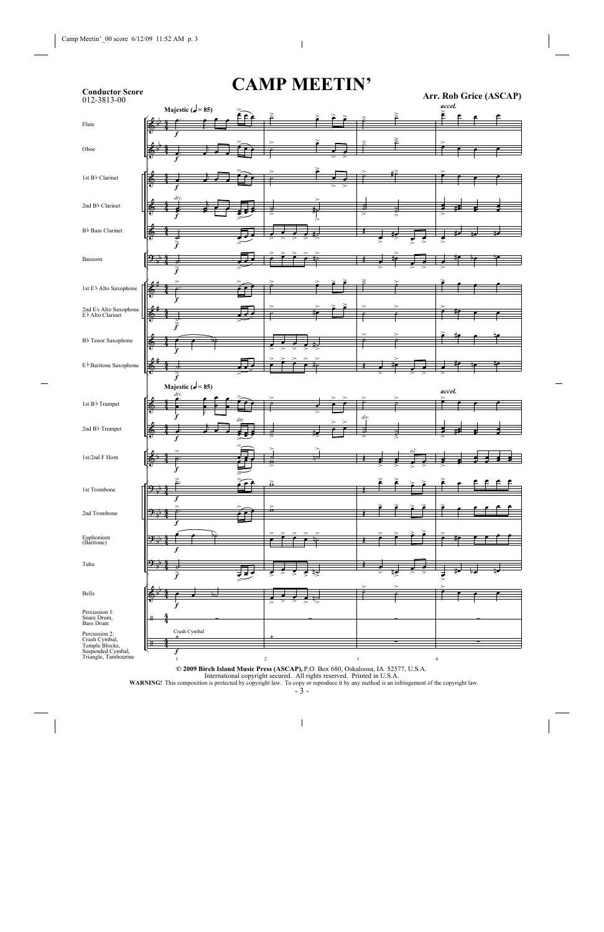## **CAMP MEETIN'**

| <b>Conductor Score</b><br>012-3813-00                                                                          |                                                            | $\mathbf{v}$ . The set of $\mathbf{v}$ |                               | ***********   |                  |                               |   |    |                | Arr. Rob Grice (ASCAP) |
|----------------------------------------------------------------------------------------------------------------|------------------------------------------------------------|----------------------------------------|-------------------------------|---------------|------------------|-------------------------------|---|----|----------------|------------------------|
|                                                                                                                | Majestic ( $\bullet$ = 85)                                 |                                        |                               |               |                  |                               | ⋧ |    | accel.         |                        |
| Flute                                                                                                          |                                                            |                                        |                               |               |                  |                               |   |    |                |                        |
| Oboe                                                                                                           | $\blacklozenge$                                            |                                        |                               |               | $\geq$<br>$\geq$ |                               | ⋧ |    |                |                        |
| 1st B $\flat$ Clarinet                                                                                         | f                                                          |                                        |                               |               | ⋝<br>⋝           |                               |   |    |                |                        |
| 2nd B <sub>b</sub> Clarinet                                                                                    | div.                                                       |                                        | $\Rightarrow$                 | $\frac{1}{2}$ |                  | g<br>$\overline{\phantom{1}}$ |   |    |                |                        |
| B <sub>b</sub> Bass Clarinet                                                                                   | $\blacklozenge$<br>يھ                                      |                                        |                               |               |                  |                               |   |    |                |                        |
| Bassoon                                                                                                        | $\mathcal{P}^{\pm}$                                        |                                        |                               |               |                  |                               |   |    |                |                        |
| $1$ st E $\flat$ Alto Saxophone                                                                                | ρ                                                          |                                        |                               |               |                  |                               |   |    |                |                        |
| 2nd E♭ Alto Saxophone<br>E♭ Alto Clarinet                                                                      | $\frac{1}{9}$                                              |                                        |                               |               |                  |                               |   |    |                |                        |
| B <sub>b</sub> Tenor Saxophone                                                                                 | $\Phi$                                                     |                                        |                               |               |                  |                               |   |    |                |                        |
| E <sup>b</sup> Baritone Saxophone                                                                              | $\phi$<br>$\widehat{\widehat{f}}$                          |                                        |                               |               |                  |                               |   |    |                |                        |
|                                                                                                                | Majestic ( $\sqrt{ } = 85$ )<br>div.                       |                                        |                               |               |                  |                               |   |    | accel.         |                        |
| 1st B <sup>b</sup> Trumpet                                                                                     | $\bigcirc$                                                 | div.                                   |                               |               |                  | div.                          |   |    |                |                        |
| 2nd B <sub>b</sub> Trumpet                                                                                     | ₩<br>4<br>$\boldsymbol{f}$                                 |                                        |                               | Ę             |                  |                               | ৎ |    | $\geq$         |                        |
| 1st/2nd F Horn                                                                                                 | 奪<br>B:<br>$\pmb{f}$                                       | $\cdot$ ,                              | $\overline{\sigma}$<br>$\geq$ | ⋗<br>ħs       |                  |                               |   | a2 |                |                        |
| 1st Trombone                                                                                                   | $9\frac{1}{5}$<br>f                                        |                                        | $\mathbf o$                   |               |                  |                               |   |    |                |                        |
| 2nd Trombone                                                                                                   | $\mathcal{P}^{\pm}$<br>f                                   |                                        | $\frac{>}{\alpha}$            |               |                  |                               |   |    |                |                        |
| Euphonium<br>(Baritone)                                                                                        | $\mathcal{Y}^{\downarrow}$<br>$\overline{\boldsymbol{f}}$  |                                        | ><br>>                        |               |                  |                               |   |    |                |                        |
| Tuba                                                                                                           | $\mathcal{P}^+$<br>$\overline{\widehat{\!\boldsymbol{f}}}$ | र र                                    |                               | াड़           |                  |                               |   |    |                |                        |
| Bells                                                                                                          | $\overline{bc}$<br>f                                       |                                        |                               |               |                  | G                             |   |    |                |                        |
| Percussion 1:<br>Snare Drum,<br>Bass Drum                                                                      | $rac{4}{4}$<br>╫                                           |                                        |                               |               |                  |                               |   |    |                |                        |
| Percussion 2:<br>Crash Cymbal,<br>Crash Cymbal,<br>Temple Blocks,<br>Suspended Cymbal,<br>Triangle, Tambourine | Crash Cymbal<br>⊞<br>f<br>-1                               | $\overline{c}$                         |                               |               |                  | $\sqrt{3}$                    |   |    | $\overline{4}$ |                        |

© 2009 Birch Island Music Press (ASCAP), P.O. Box 680, Oskaloosa, IA 52577, U.S.A. International copyright secured. All rights reserved. Printed in U.S.A. **WARNING!** This composition is protected by copyright law. To copy or reproduce it by any method is an infringement of the copyright law. **© 2009 Birch Island Music Press (ASCAP),**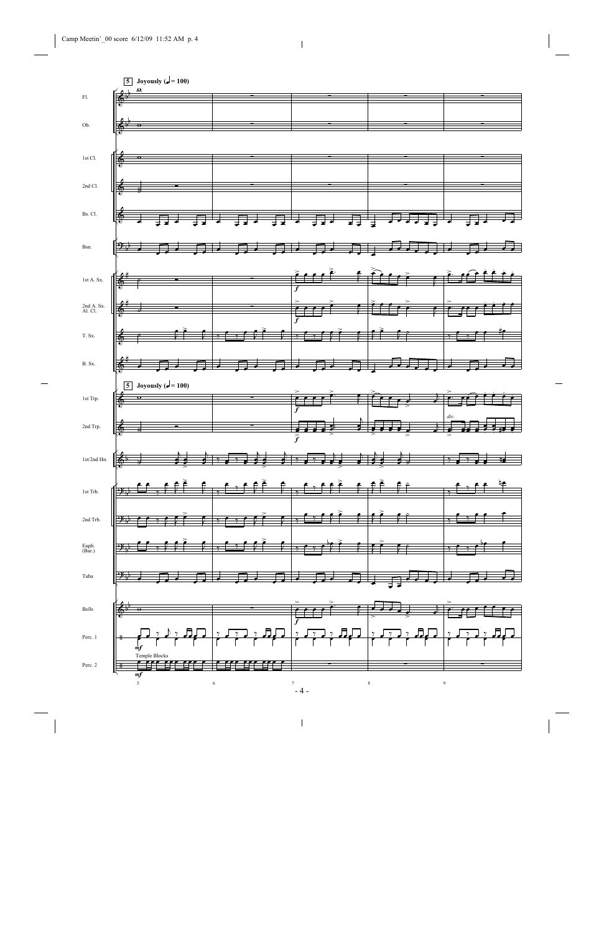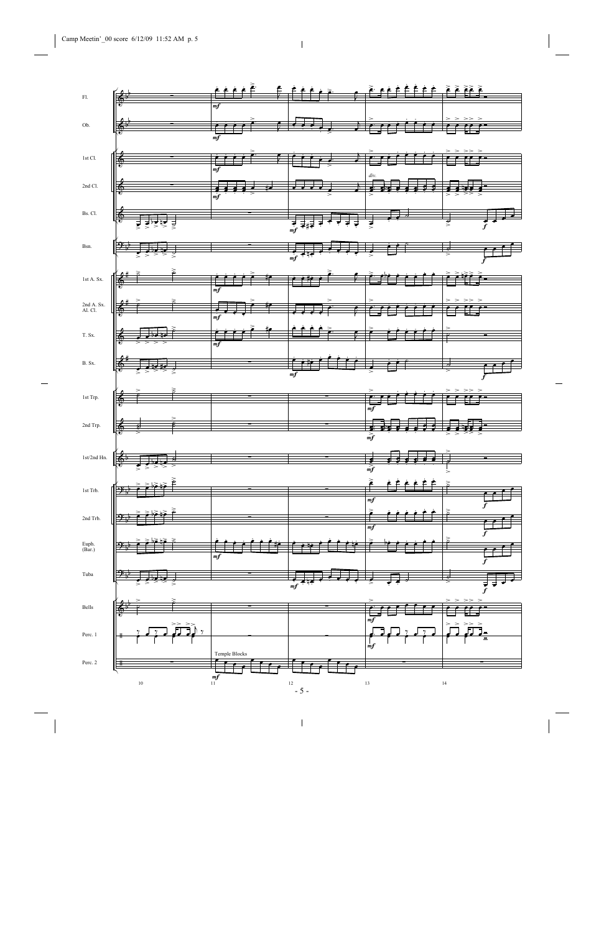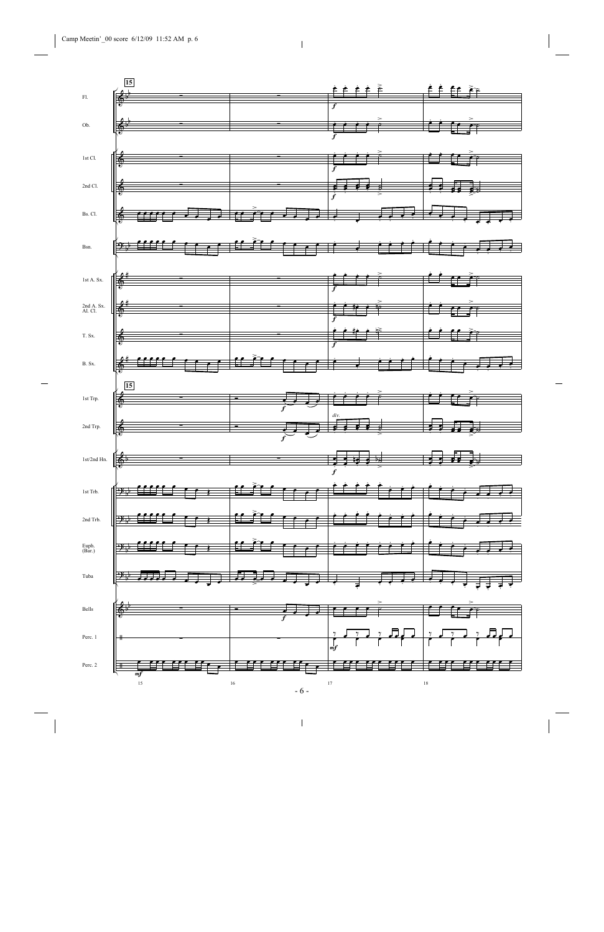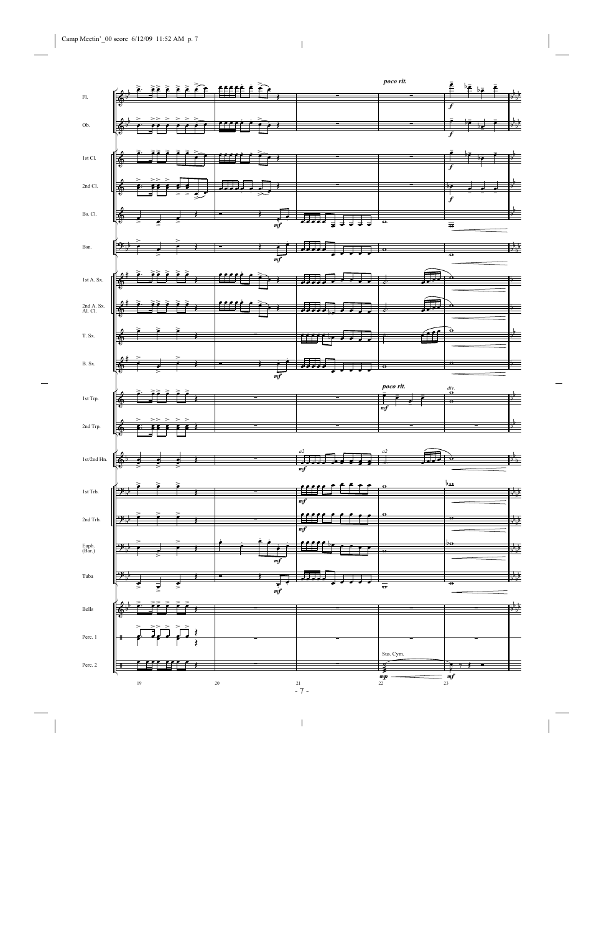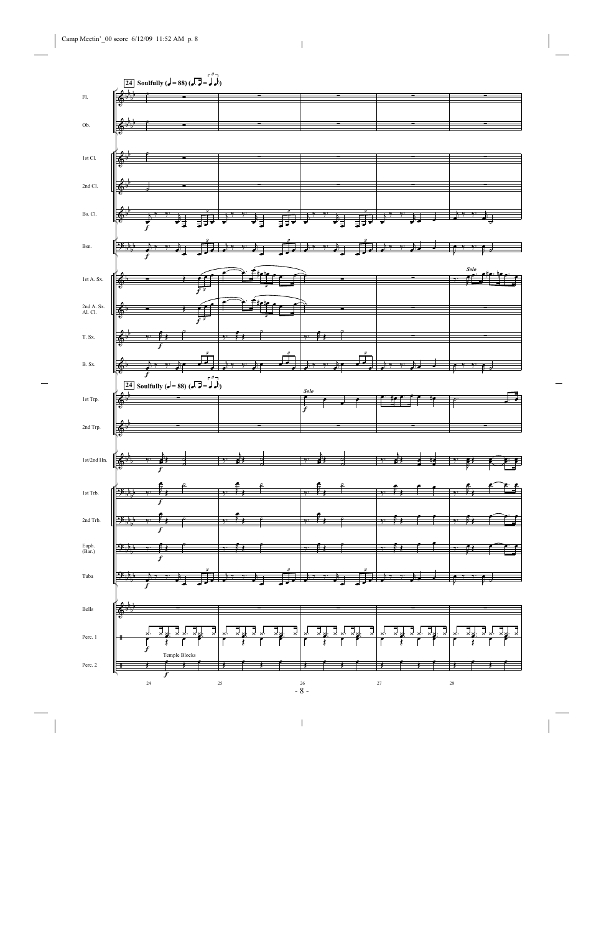![](_page_5_Figure_0.jpeg)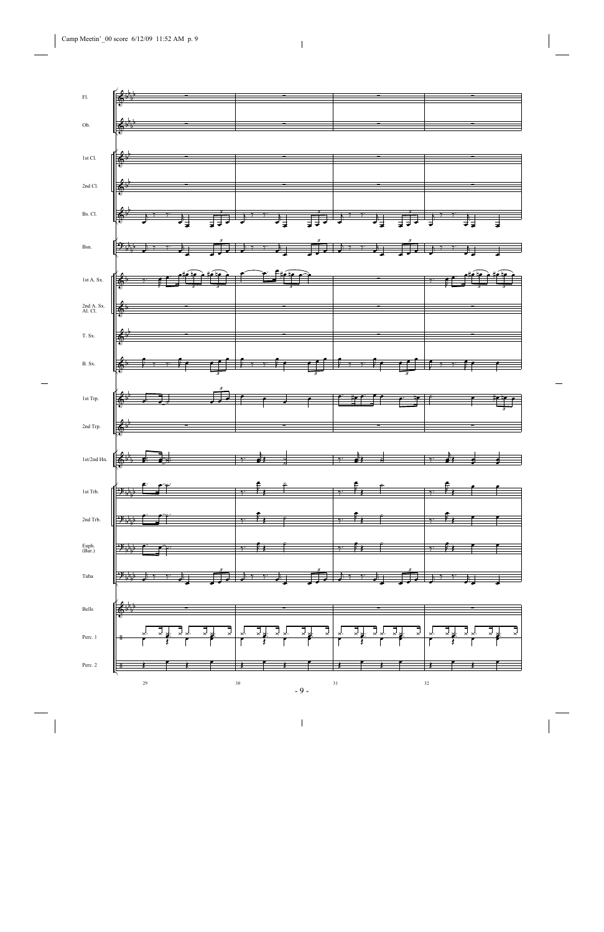![](_page_6_Figure_0.jpeg)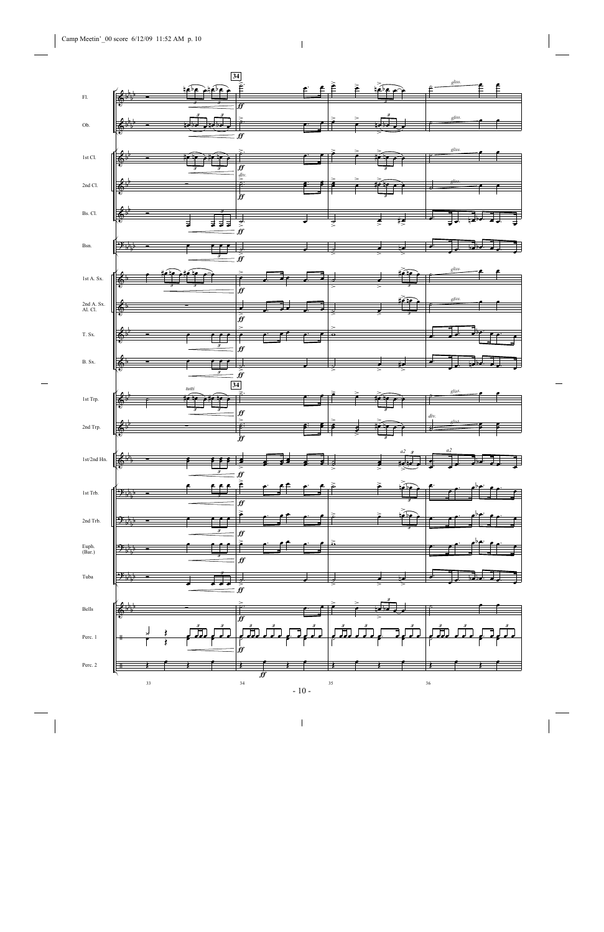![](_page_7_Figure_0.jpeg)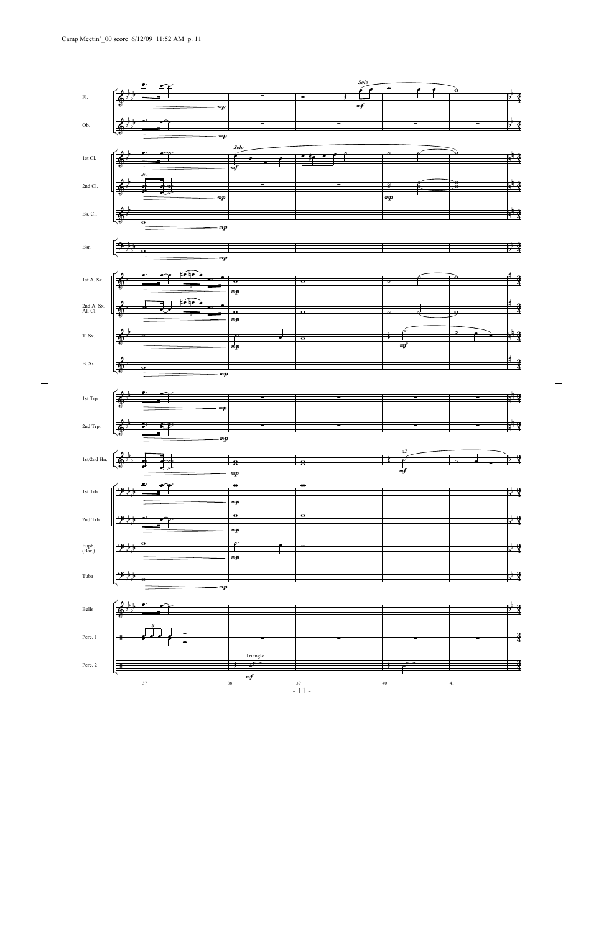![](_page_8_Figure_0.jpeg)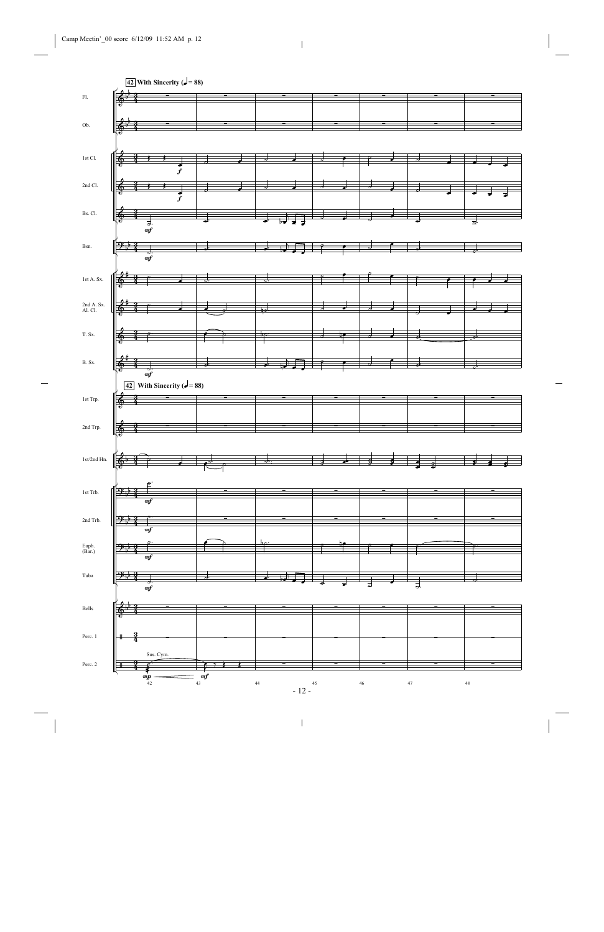![](_page_9_Figure_0.jpeg)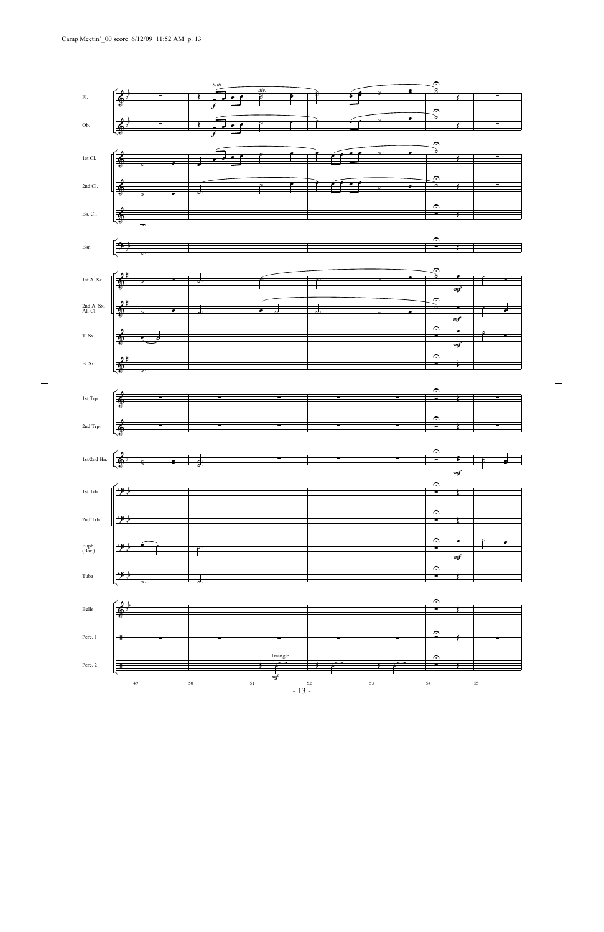![](_page_10_Figure_0.jpeg)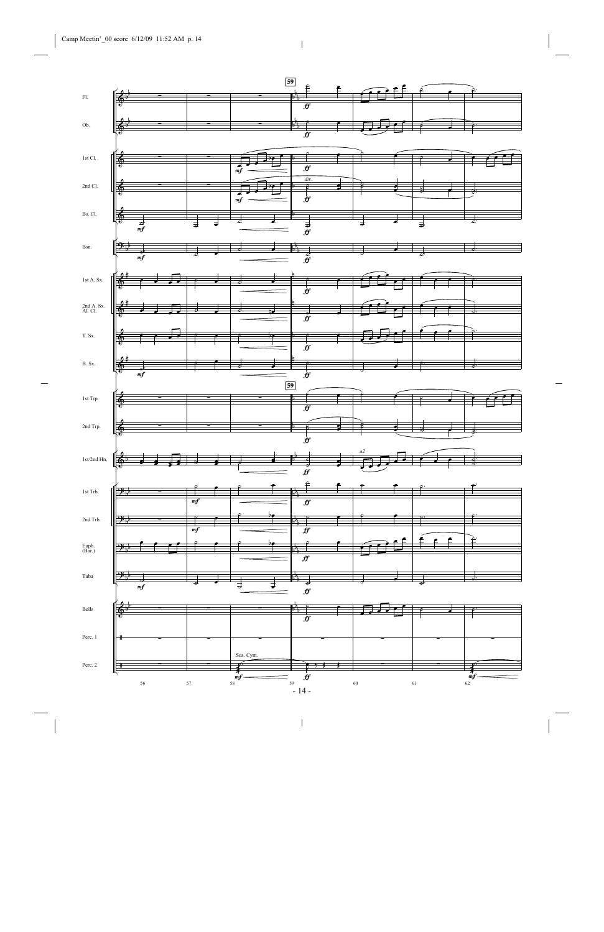![](_page_11_Figure_0.jpeg)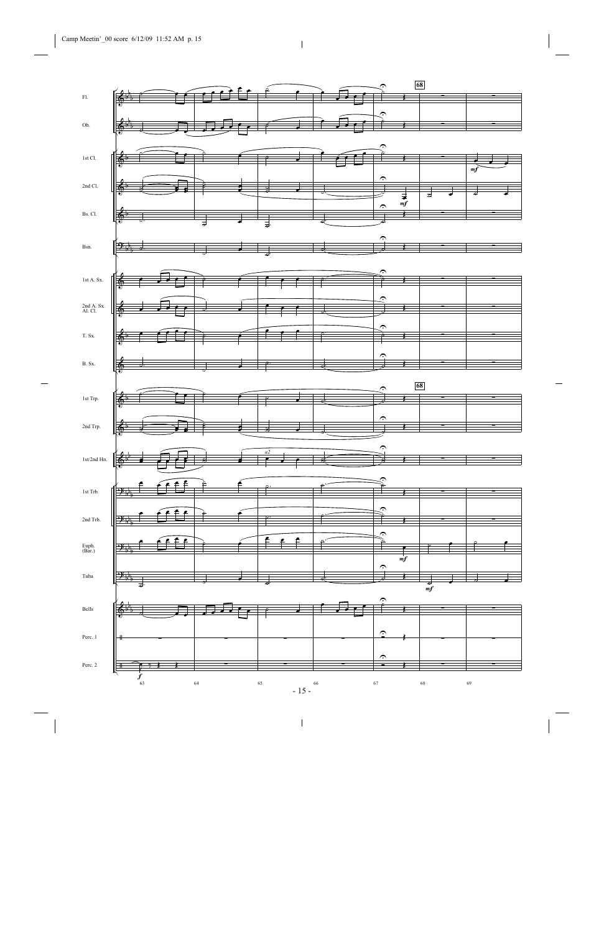![](_page_12_Figure_0.jpeg)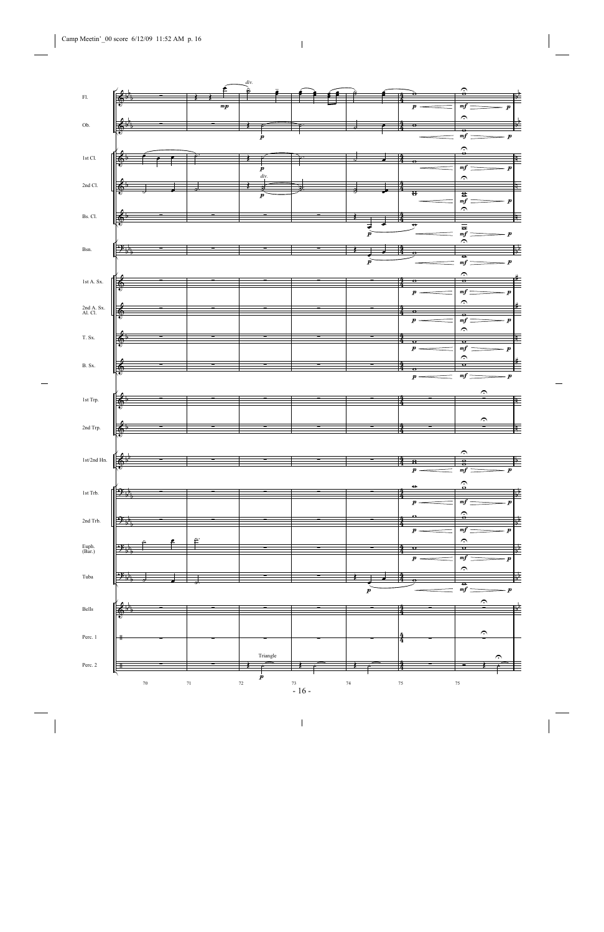![](_page_13_Figure_0.jpeg)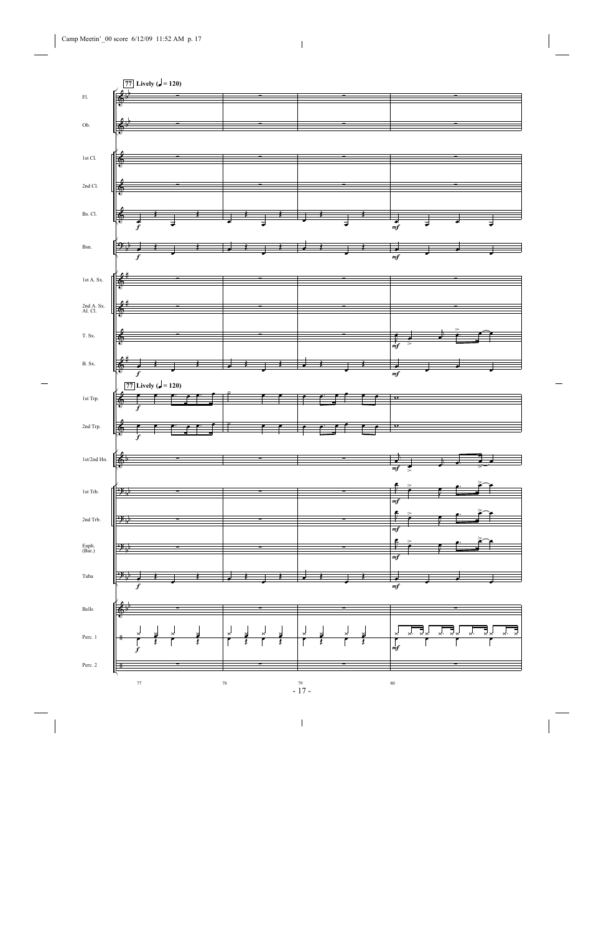![](_page_14_Figure_0.jpeg)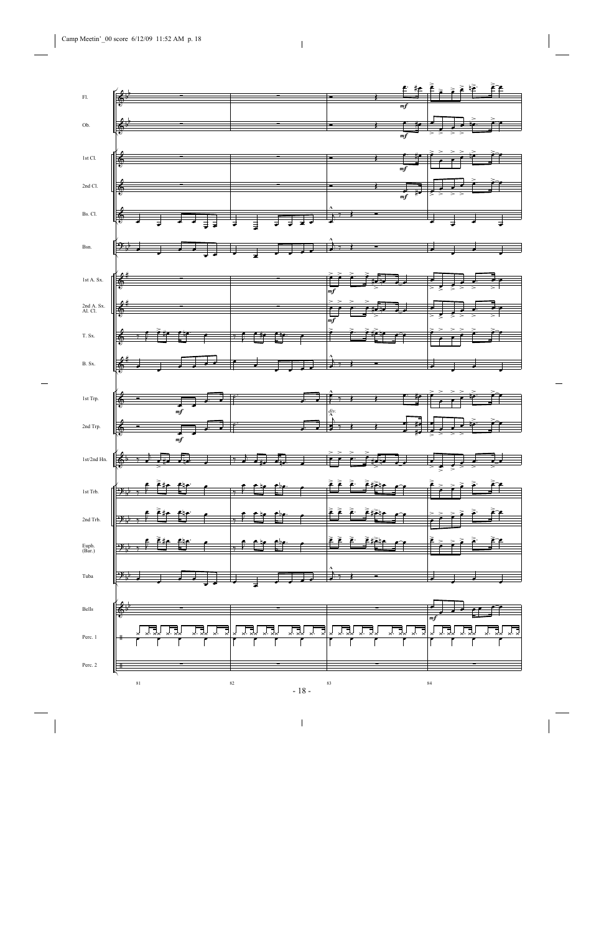![](_page_15_Figure_0.jpeg)

- 18 -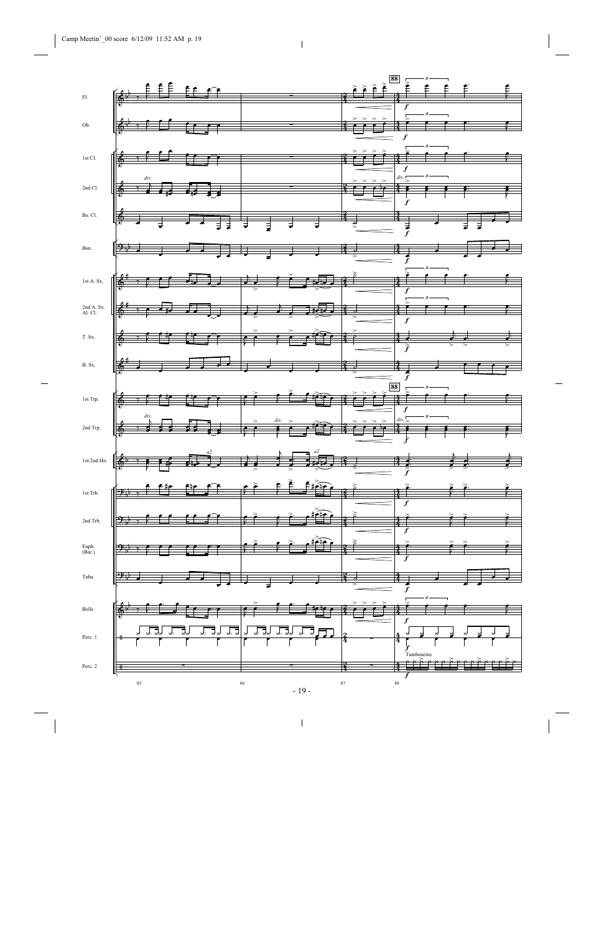![](_page_16_Figure_0.jpeg)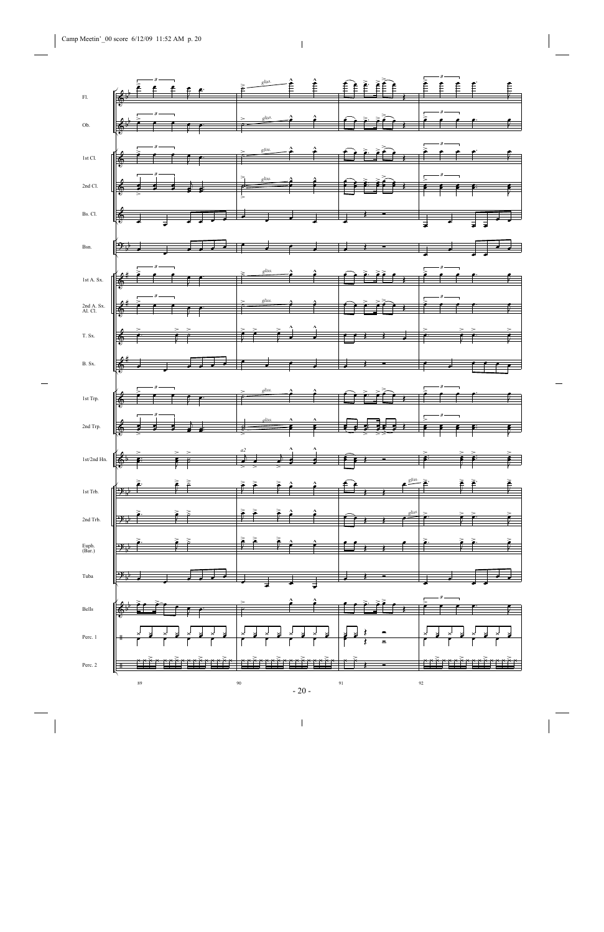![](_page_17_Figure_0.jpeg)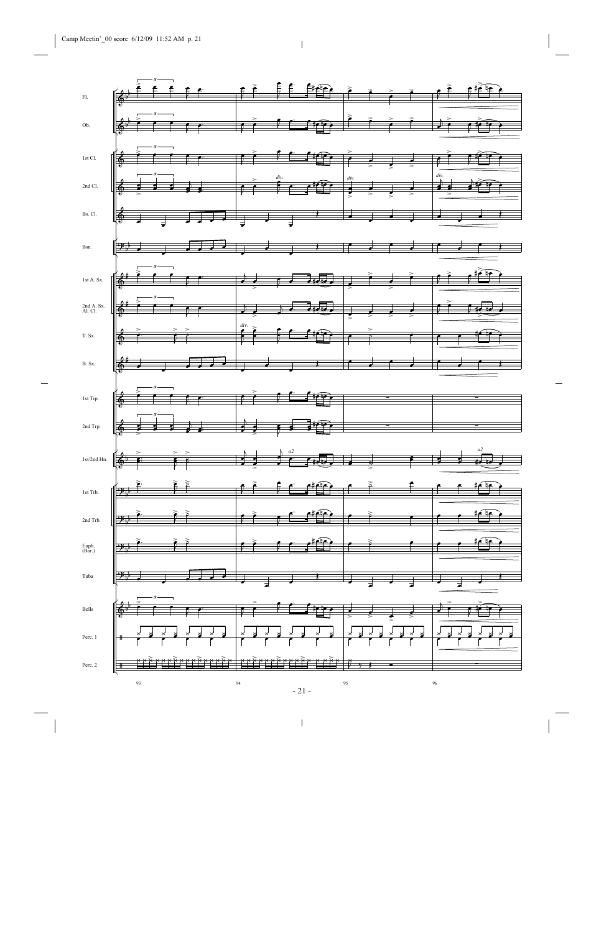![](_page_18_Figure_0.jpeg)

- 21 -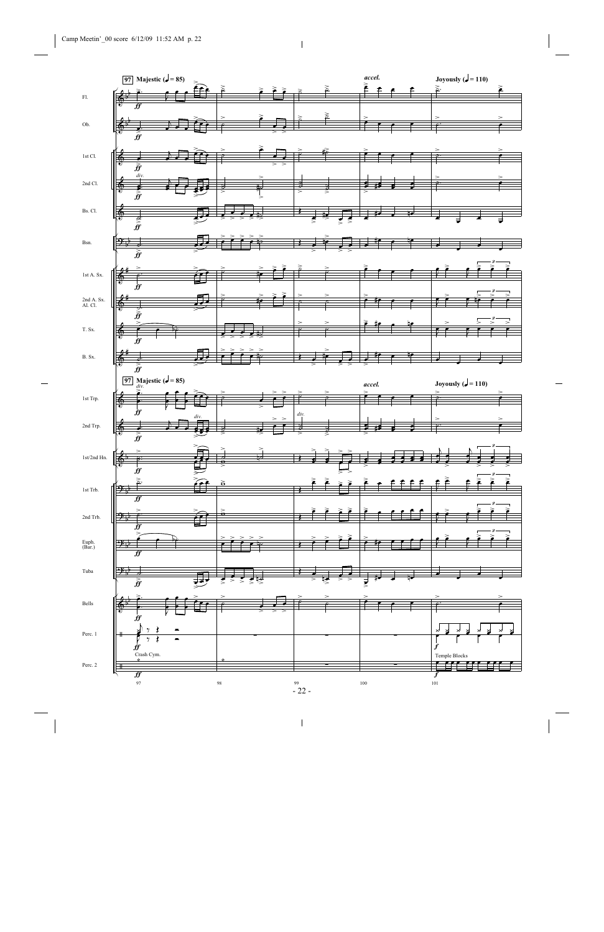![](_page_19_Figure_0.jpeg)